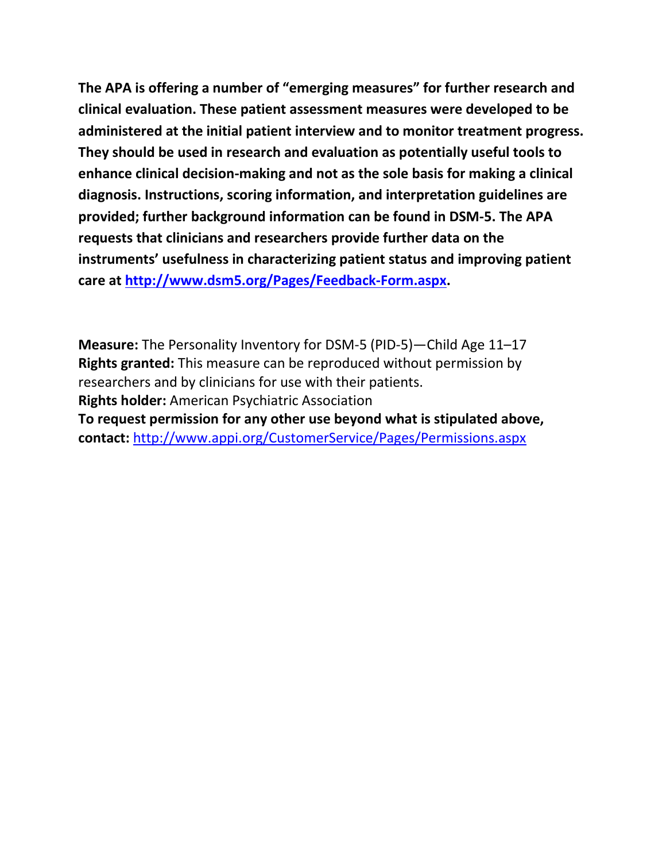**The APA is offering a number of "emerging measures" for further research and clinical evaluation. These patient assessment measures were developed to be administered at the initial patient interview and to monitor treatment progress. They should be used in research and evaluation as potentially useful tools to enhance clinical decision-making and not as the sole basis for making a clinical diagnosis. Instructions, scoring information, and interpretation guidelines are provided; further background information can be found in DSM-5. The APA requests that clinicians and researchers provide further data on the instruments' usefulness in characterizing patient status and improving patient care at [http://www.dsm5.org/Pages/Feedback-Form.aspx.](http://www.dsm5.org/Pages/Feedback-Form.aspx)**

**Measure:** The Personality Inventory for DSM-5 (PID-5)—Child Age 11–17 **Rights granted:** This measure can be reproduced without permission by researchers and by clinicians for use with their patients. **Rights holder:** American Psychiatric Association **To request permission for any other use beyond what is stipulated above, contact:** <http://www.appi.org/CustomerService/Pages/Permissions.aspx>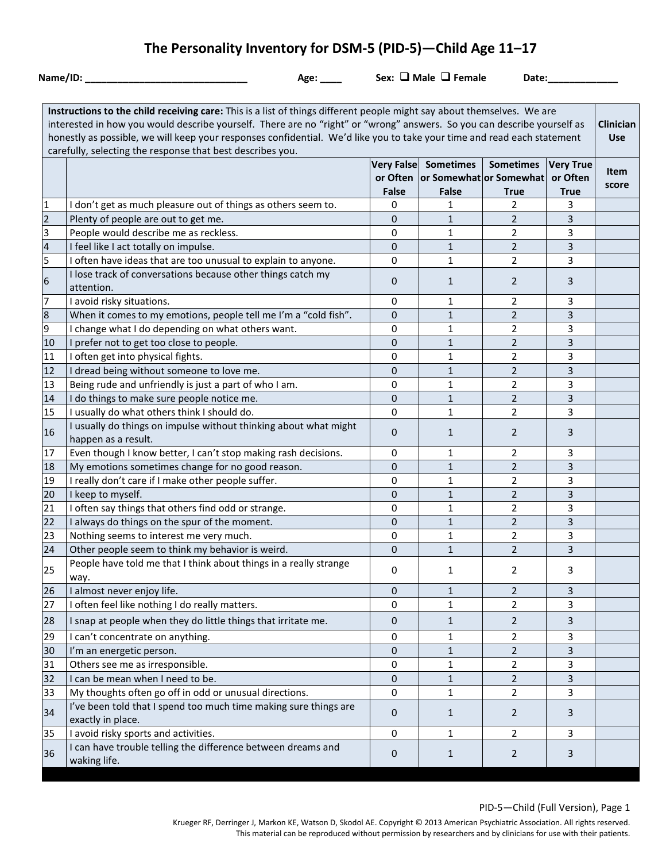# **The Personality Inventory for DSM-5 (PID-5)—Child Age 11–17**

**Name/ID: \_\_\_\_\_\_\_\_\_\_\_\_\_\_\_\_\_\_\_\_\_\_\_\_\_\_\_\_\_\_ Age: \_\_\_\_ Sex: Male Female Date:\_\_\_\_\_\_\_\_\_\_\_\_\_**

| Instructions to the child receiving care: This is a list of things different people might say about themselves. We are<br>interested in how you would describe yourself. There are no "right" or "wrong" answers. So you can describe yourself as<br>Clinician<br>honestly as possible, we will keep your responses confidential. We'd like you to take your time and read each statement<br>carefully, selecting the response that best describes you. |                                                                                         |              |                                                                              |                                 |                                             |                      |
|---------------------------------------------------------------------------------------------------------------------------------------------------------------------------------------------------------------------------------------------------------------------------------------------------------------------------------------------------------------------------------------------------------------------------------------------------------|-----------------------------------------------------------------------------------------|--------------|------------------------------------------------------------------------------|---------------------------------|---------------------------------------------|----------------------|
|                                                                                                                                                                                                                                                                                                                                                                                                                                                         |                                                                                         | <b>False</b> | Very False Sometimes<br>or Often   or Somewhat   or Somewhat<br><b>False</b> | <b>Sometimes</b><br><b>True</b> | <b>Very True</b><br>or Often<br><b>True</b> | <b>Item</b><br>score |
| $\mathbf 1$                                                                                                                                                                                                                                                                                                                                                                                                                                             | I don't get as much pleasure out of things as others seem to.                           | 0            | 1                                                                            | 2                               | 3                                           |                      |
| $\overline{c}$                                                                                                                                                                                                                                                                                                                                                                                                                                          | Plenty of people are out to get me.                                                     | 0            | $\mathbf{1}$                                                                 | $\overline{2}$                  | 3                                           |                      |
| 3                                                                                                                                                                                                                                                                                                                                                                                                                                                       | People would describe me as reckless.                                                   | 0            | 1                                                                            | $\overline{2}$                  | 3                                           |                      |
| $\overline{\mathbf{4}}$                                                                                                                                                                                                                                                                                                                                                                                                                                 | I feel like I act totally on impulse.                                                   | $\pmb{0}$    | $\mathbf{1}$                                                                 | $\overline{2}$                  | 3                                           |                      |
| 5                                                                                                                                                                                                                                                                                                                                                                                                                                                       | I often have ideas that are too unusual to explain to anyone.                           | 0            | $\mathbf{1}$                                                                 | $\overline{2}$                  | 3                                           |                      |
| $\boldsymbol{6}$                                                                                                                                                                                                                                                                                                                                                                                                                                        | I lose track of conversations because other things catch my<br>attention.               | 0            | $\mathbf{1}$                                                                 | $\overline{2}$                  | 3                                           |                      |
| $\overline{7}$                                                                                                                                                                                                                                                                                                                                                                                                                                          | I avoid risky situations.                                                               | 0            | 1                                                                            | $\overline{2}$                  | 3                                           |                      |
| $\bf 8$                                                                                                                                                                                                                                                                                                                                                                                                                                                 | When it comes to my emotions, people tell me I'm a "cold fish".                         | $\mathbf{0}$ | $\mathbf{1}$                                                                 | $\overline{2}$                  | 3                                           |                      |
| 9                                                                                                                                                                                                                                                                                                                                                                                                                                                       | I change what I do depending on what others want.                                       | 0            | 1                                                                            | $\overline{2}$                  | 3                                           |                      |
| 10                                                                                                                                                                                                                                                                                                                                                                                                                                                      | I prefer not to get too close to people.                                                | $\mathbf{0}$ | $\mathbf{1}$                                                                 | $\overline{2}$                  | 3                                           |                      |
| 11                                                                                                                                                                                                                                                                                                                                                                                                                                                      | I often get into physical fights.                                                       | 0            | 1                                                                            | $\overline{2}$                  | 3                                           |                      |
| 12                                                                                                                                                                                                                                                                                                                                                                                                                                                      | I dread being without someone to love me.                                               | $\pmb{0}$    | $\mathbf{1}$                                                                 | $\overline{2}$                  | 3                                           |                      |
| 13                                                                                                                                                                                                                                                                                                                                                                                                                                                      | Being rude and unfriendly is just a part of who I am.                                   | 0            | $\mathbf{1}$                                                                 | $\overline{2}$                  | 3                                           |                      |
| 14                                                                                                                                                                                                                                                                                                                                                                                                                                                      | I do things to make sure people notice me.                                              | $\mathbf{0}$ | $\mathbf{1}$                                                                 | $\overline{2}$                  | 3                                           |                      |
| 15                                                                                                                                                                                                                                                                                                                                                                                                                                                      | I usually do what others think I should do.                                             | 0            | $\mathbf{1}$                                                                 | $\overline{2}$                  | 3                                           |                      |
| 16                                                                                                                                                                                                                                                                                                                                                                                                                                                      | I usually do things on impulse without thinking about what might<br>happen as a result. | $\mathbf{0}$ | 1                                                                            | $\overline{2}$                  | 3                                           |                      |
| 17                                                                                                                                                                                                                                                                                                                                                                                                                                                      | Even though I know better, I can't stop making rash decisions.                          | 0            | 1                                                                            | 2                               | 3                                           |                      |
| 18                                                                                                                                                                                                                                                                                                                                                                                                                                                      | My emotions sometimes change for no good reason.                                        | $\mathbf{0}$ | $1\,$                                                                        | $\overline{2}$                  | 3                                           |                      |
| 19                                                                                                                                                                                                                                                                                                                                                                                                                                                      | I really don't care if I make other people suffer.                                      | 0            | $\mathbf{1}$                                                                 | $\overline{2}$                  | 3                                           |                      |
| 20                                                                                                                                                                                                                                                                                                                                                                                                                                                      | I keep to myself.                                                                       | 0            | 1                                                                            | $\overline{2}$                  | 3                                           |                      |
| 21                                                                                                                                                                                                                                                                                                                                                                                                                                                      | I often say things that others find odd or strange.                                     | 0            | 1                                                                            | $\overline{2}$                  | 3                                           |                      |
| 22                                                                                                                                                                                                                                                                                                                                                                                                                                                      | I always do things on the spur of the moment.                                           | $\mathbf{0}$ | $\mathbf{1}$                                                                 | $\overline{2}$                  | $\overline{3}$                              |                      |
| 23                                                                                                                                                                                                                                                                                                                                                                                                                                                      | Nothing seems to interest me very much.                                                 | 0            | $\mathbf{1}$                                                                 | $\overline{2}$                  | 3                                           |                      |
| 24                                                                                                                                                                                                                                                                                                                                                                                                                                                      | Other people seem to think my behavior is weird.                                        | $\mathbf{0}$ | $\mathbf{1}$                                                                 | $\overline{2}$                  | 3                                           |                      |
| 25                                                                                                                                                                                                                                                                                                                                                                                                                                                      | People have told me that I think about things in a really strange<br>way.               | 0            | 1                                                                            | 2                               | 3                                           |                      |
| 26                                                                                                                                                                                                                                                                                                                                                                                                                                                      | I almost never enjoy life.                                                              | 0            | 1                                                                            | 2                               | 3                                           |                      |
| 27                                                                                                                                                                                                                                                                                                                                                                                                                                                      | I often feel like nothing I do really matters.                                          | 0            | $\mathbf{1}$                                                                 | $\overline{2}$                  | 3                                           |                      |
| 28                                                                                                                                                                                                                                                                                                                                                                                                                                                      | I snap at people when they do little things that irritate me.                           | 0            | $\mathbf{1}$                                                                 | $\overline{2}$                  | 3                                           |                      |
| 29                                                                                                                                                                                                                                                                                                                                                                                                                                                      | I can't concentrate on anything.                                                        | 0            | 1                                                                            | 2                               | 3                                           |                      |
| 30                                                                                                                                                                                                                                                                                                                                                                                                                                                      | I'm an energetic person.                                                                | 0            | 1                                                                            | 2                               | 3                                           |                      |
| 31                                                                                                                                                                                                                                                                                                                                                                                                                                                      | Others see me as irresponsible.                                                         | 0            | 1                                                                            | $\overline{2}$                  | 3                                           |                      |
| 32                                                                                                                                                                                                                                                                                                                                                                                                                                                      | I can be mean when I need to be.                                                        | 0            | $\mathbf{1}$                                                                 | $\overline{2}$                  | 3                                           |                      |
| 33                                                                                                                                                                                                                                                                                                                                                                                                                                                      | My thoughts often go off in odd or unusual directions.                                  | 0            | 1                                                                            | $\overline{2}$                  | 3                                           |                      |
| 34                                                                                                                                                                                                                                                                                                                                                                                                                                                      | I've been told that I spend too much time making sure things are<br>exactly in place.   | 0            | $\mathbf{1}$                                                                 | $\overline{2}$                  | 3                                           |                      |
| 35                                                                                                                                                                                                                                                                                                                                                                                                                                                      | I avoid risky sports and activities.                                                    | $\pmb{0}$    | 1                                                                            | $\overline{2}$                  | 3                                           |                      |
| 36                                                                                                                                                                                                                                                                                                                                                                                                                                                      | I can have trouble telling the difference between dreams and<br>waking life.            | 0            | $\mathbf{1}$                                                                 | 2                               | 3                                           |                      |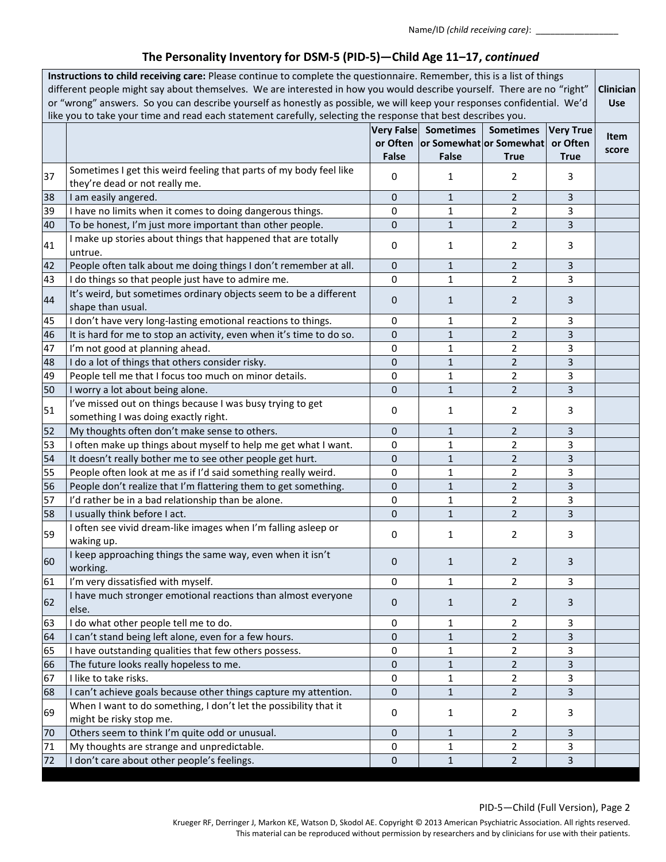| Instructions to child receiving care: Please continue to complete the questionnaire. Remember, this is a list of things<br>different people might say about themselves. We are interested in how you would describe yourself. There are no "right"<br>Clinician<br>or "wrong" answers. So you can describe yourself as honestly as possible, we will keep your responses confidential. We'd<br><b>Use</b><br>like you to take your time and read each statement carefully, selecting the response that best describes you. |                                                                                                      |                  |                                                                          |                                 |                                             |               |
|----------------------------------------------------------------------------------------------------------------------------------------------------------------------------------------------------------------------------------------------------------------------------------------------------------------------------------------------------------------------------------------------------------------------------------------------------------------------------------------------------------------------------|------------------------------------------------------------------------------------------------------|------------------|--------------------------------------------------------------------------|---------------------------------|---------------------------------------------|---------------|
|                                                                                                                                                                                                                                                                                                                                                                                                                                                                                                                            |                                                                                                      | <b>False</b>     | Very False Sometimes<br>or Often or Somewhat or Somewhat<br><b>False</b> | <b>Sometimes</b><br><b>True</b> | <b>Very True</b><br>or Often<br><b>True</b> | Item<br>score |
| 37                                                                                                                                                                                                                                                                                                                                                                                                                                                                                                                         | Sometimes I get this weird feeling that parts of my body feel like<br>they're dead or not really me. | 0                | 1                                                                        | $\overline{2}$                  | 3                                           |               |
| 38                                                                                                                                                                                                                                                                                                                                                                                                                                                                                                                         | I am easily angered.                                                                                 | $\mathbf{0}$     | $\mathbf{1}$                                                             | $\overline{2}$                  | 3                                           |               |
| 39                                                                                                                                                                                                                                                                                                                                                                                                                                                                                                                         | I have no limits when it comes to doing dangerous things.                                            | $\pmb{0}$        | $\mathbf{1}$                                                             | $\overline{2}$                  | 3                                           |               |
| 40                                                                                                                                                                                                                                                                                                                                                                                                                                                                                                                         | To be honest, I'm just more important than other people.                                             | $\pmb{0}$        | $\mathbf{1}$                                                             | $\overline{2}$                  | 3                                           |               |
| 41                                                                                                                                                                                                                                                                                                                                                                                                                                                                                                                         | I make up stories about things that happened that are totally<br>untrue.                             | 0                | 1                                                                        | 2                               | 3                                           |               |
| 42                                                                                                                                                                                                                                                                                                                                                                                                                                                                                                                         | People often talk about me doing things I don't remember at all.                                     | $\mathbf 0$      | $\mathbf{1}$                                                             | $\overline{2}$                  | 3                                           |               |
| 43                                                                                                                                                                                                                                                                                                                                                                                                                                                                                                                         | I do things so that people just have to admire me.                                                   | $\mathbf 0$      | $\mathbf{1}$                                                             | $\overline{2}$                  | 3                                           |               |
| 44                                                                                                                                                                                                                                                                                                                                                                                                                                                                                                                         | It's weird, but sometimes ordinary objects seem to be a different<br>shape than usual.               | 0                | $\mathbf{1}$                                                             | $\overline{2}$                  | 3                                           |               |
| 45                                                                                                                                                                                                                                                                                                                                                                                                                                                                                                                         | I don't have very long-lasting emotional reactions to things.                                        | 0                | 1                                                                        | $\overline{2}$                  | 3                                           |               |
| 46                                                                                                                                                                                                                                                                                                                                                                                                                                                                                                                         | It is hard for me to stop an activity, even when it's time to do so.                                 | 0                | 1                                                                        | $\overline{2}$                  | 3                                           |               |
| 47                                                                                                                                                                                                                                                                                                                                                                                                                                                                                                                         | I'm not good at planning ahead.                                                                      | $\mathbf 0$      | $\mathbf{1}$                                                             | $\overline{2}$                  | 3                                           |               |
| 48                                                                                                                                                                                                                                                                                                                                                                                                                                                                                                                         | I do a lot of things that others consider risky.                                                     | 0                | $\mathbf{1}$                                                             | $\overline{2}$                  | 3                                           |               |
| 49                                                                                                                                                                                                                                                                                                                                                                                                                                                                                                                         | People tell me that I focus too much on minor details.                                               | 0                | 1                                                                        | $\overline{2}$                  | 3                                           |               |
| 50                                                                                                                                                                                                                                                                                                                                                                                                                                                                                                                         | I worry a lot about being alone.                                                                     | $\mathbf{0}$     | $\mathbf{1}$                                                             | $\overline{2}$                  | 3                                           |               |
| 51                                                                                                                                                                                                                                                                                                                                                                                                                                                                                                                         | I've missed out on things because I was busy trying to get<br>something I was doing exactly right.   | 0                | 1                                                                        | $\overline{2}$                  | 3                                           |               |
| 52                                                                                                                                                                                                                                                                                                                                                                                                                                                                                                                         | My thoughts often don't make sense to others.                                                        | 0                | $\mathbf{1}$                                                             | $\overline{2}$                  | 3                                           |               |
| 53                                                                                                                                                                                                                                                                                                                                                                                                                                                                                                                         | I often make up things about myself to help me get what I want.                                      | 0                | $\mathbf{1}$                                                             | $\overline{2}$                  | 3                                           |               |
| 54                                                                                                                                                                                                                                                                                                                                                                                                                                                                                                                         | It doesn't really bother me to see other people get hurt.                                            | 0                | $\mathbf{1}$                                                             | $\overline{2}$                  | 3                                           |               |
| 55                                                                                                                                                                                                                                                                                                                                                                                                                                                                                                                         | People often look at me as if I'd said something really weird.                                       | $\pmb{0}$        | $\mathbf{1}$                                                             | $\overline{2}$                  | 3                                           |               |
| 56                                                                                                                                                                                                                                                                                                                                                                                                                                                                                                                         | People don't realize that I'm flattering them to get something.                                      | $\mathbf 0$      | $\mathbf{1}$                                                             | $\overline{2}$                  | 3                                           |               |
| 57                                                                                                                                                                                                                                                                                                                                                                                                                                                                                                                         | I'd rather be in a bad relationship than be alone.                                                   | 0                | 1                                                                        | $\overline{2}$                  | 3                                           |               |
| 58                                                                                                                                                                                                                                                                                                                                                                                                                                                                                                                         | I usually think before I act.                                                                        | 0                | $\mathbf{1}$                                                             | $\overline{2}$                  | 3                                           |               |
| 59                                                                                                                                                                                                                                                                                                                                                                                                                                                                                                                         | I often see vivid dream-like images when I'm falling asleep or<br>waking up.                         | 0                | 1                                                                        | $\overline{2}$                  | 3                                           |               |
| 60                                                                                                                                                                                                                                                                                                                                                                                                                                                                                                                         | I keep approaching things the same way, even when it isn't<br>working.                               | $\boldsymbol{0}$ | $\mathbf{1}$                                                             | $\overline{2}$                  | 3                                           |               |
| 61                                                                                                                                                                                                                                                                                                                                                                                                                                                                                                                         | I'm very dissatisfied with myself.                                                                   | $\mathbf 0$      | 1                                                                        | $\overline{2}$                  | 3                                           |               |
| 62                                                                                                                                                                                                                                                                                                                                                                                                                                                                                                                         | I have much stronger emotional reactions than almost everyone<br>else.                               | $\mathbf{0}$     | $\mathbf{1}$                                                             | $\overline{2}$                  | 3                                           |               |
| 63                                                                                                                                                                                                                                                                                                                                                                                                                                                                                                                         | I do what other people tell me to do.                                                                | 0                | 1                                                                        | 2                               | 3                                           |               |
| 64                                                                                                                                                                                                                                                                                                                                                                                                                                                                                                                         | I can't stand being left alone, even for a few hours.                                                | 0                | 1                                                                        | $\overline{2}$                  | 3                                           |               |
| 65                                                                                                                                                                                                                                                                                                                                                                                                                                                                                                                         | I have outstanding qualities that few others possess.                                                | 0                | 1                                                                        | 2                               | 3                                           |               |
| 66                                                                                                                                                                                                                                                                                                                                                                                                                                                                                                                         | The future looks really hopeless to me.                                                              | 0                | $\mathbf{1}$                                                             | $\overline{2}$                  | 3                                           |               |
| 67                                                                                                                                                                                                                                                                                                                                                                                                                                                                                                                         | I like to take risks.                                                                                | $\pmb{0}$        | $\mathbf{1}$                                                             | $\overline{2}$                  | 3                                           |               |
| 68                                                                                                                                                                                                                                                                                                                                                                                                                                                                                                                         | I can't achieve goals because other things capture my attention.                                     | $\mathbf 0$      | $\mathbf{1}$                                                             | $\overline{2}$                  | $\overline{3}$                              |               |
| 69                                                                                                                                                                                                                                                                                                                                                                                                                                                                                                                         | When I want to do something, I don't let the possibility that it<br>might be risky stop me.          | 0                | 1                                                                        | $\overline{2}$                  | 3                                           |               |
| 70                                                                                                                                                                                                                                                                                                                                                                                                                                                                                                                         | Others seem to think I'm quite odd or unusual.                                                       | $\mathbf 0$      | 1                                                                        | $\overline{2}$                  | 3                                           |               |
| 71                                                                                                                                                                                                                                                                                                                                                                                                                                                                                                                         | My thoughts are strange and unpredictable.                                                           | 0                | 1                                                                        | $\overline{2}$                  | 3                                           |               |
| 72                                                                                                                                                                                                                                                                                                                                                                                                                                                                                                                         | I don't care about other people's feelings.                                                          | $\mathbf 0$      | $\mathbf{1}$                                                             | $\overline{2}$                  | $\overline{3}$                              |               |

#### PID-5—Child (Full Version), Page 2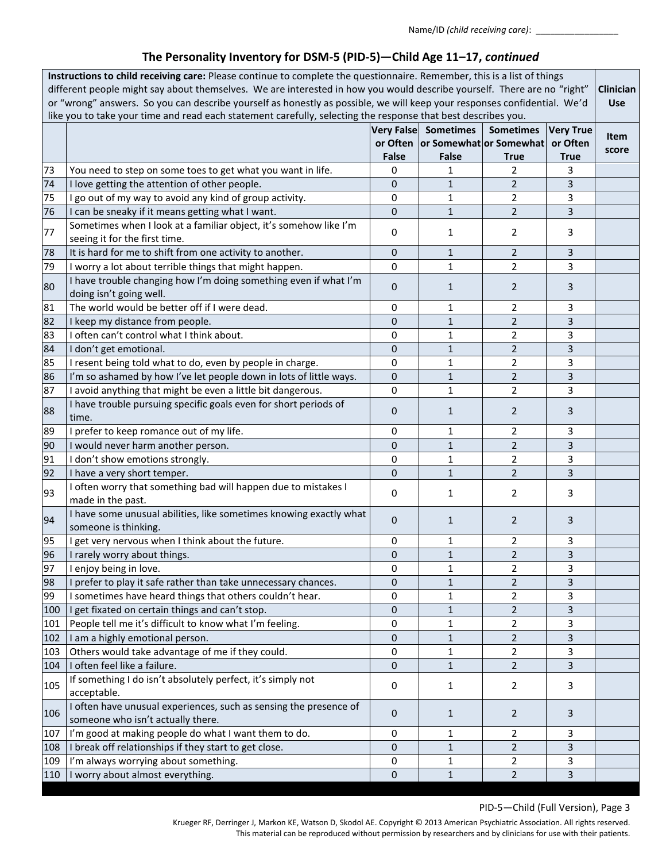| Instructions to child receiving care: Please continue to complete the questionnaire. Remember, this is a list of things<br>different people might say about themselves. We are interested in how you would describe yourself. There are no "right"<br>or "wrong" answers. So you can describe yourself as honestly as possible, we will keep your responses confidential. We'd<br>like you to take your time and read each statement carefully, selecting the response that best describes you. |                                                                                                                       |                   |                                                      |                  |                              | Clinician<br><b>Use</b> |
|-------------------------------------------------------------------------------------------------------------------------------------------------------------------------------------------------------------------------------------------------------------------------------------------------------------------------------------------------------------------------------------------------------------------------------------------------------------------------------------------------|-----------------------------------------------------------------------------------------------------------------------|-------------------|------------------------------------------------------|------------------|------------------------------|-------------------------|
|                                                                                                                                                                                                                                                                                                                                                                                                                                                                                                 |                                                                                                                       | <b>Very False</b> | <b>Sometimes</b><br>or Often or Somewhat or Somewhat | <b>Sometimes</b> | <b>Very True</b><br>or Often | Item<br>score           |
| 73                                                                                                                                                                                                                                                                                                                                                                                                                                                                                              |                                                                                                                       | <b>False</b>      | <b>False</b><br>1                                    | <b>True</b><br>2 | <b>True</b><br>3             |                         |
| 74                                                                                                                                                                                                                                                                                                                                                                                                                                                                                              | You need to step on some toes to get what you want in life.<br>I love getting the attention of other people.          | 0<br>0            | $\mathbf{1}$                                         | $\overline{2}$   | 3                            |                         |
| 75                                                                                                                                                                                                                                                                                                                                                                                                                                                                                              |                                                                                                                       | 0                 | $\mathbf 1$                                          | $\overline{2}$   | 3                            |                         |
| 76                                                                                                                                                                                                                                                                                                                                                                                                                                                                                              | I go out of my way to avoid any kind of group activity.                                                               | 0                 | $\mathbf{1}$                                         | $\overline{2}$   | 3                            |                         |
|                                                                                                                                                                                                                                                                                                                                                                                                                                                                                                 | I can be sneaky if it means getting what I want.<br>Sometimes when I look at a familiar object, it's somehow like I'm |                   |                                                      |                  |                              |                         |
| 77                                                                                                                                                                                                                                                                                                                                                                                                                                                                                              | seeing it for the first time.                                                                                         | 0                 | 1                                                    | 2                | 3                            |                         |
| 78                                                                                                                                                                                                                                                                                                                                                                                                                                                                                              | It is hard for me to shift from one activity to another.                                                              | 0                 | $\mathbf{1}$                                         | $\overline{2}$   | 3                            |                         |
| 79                                                                                                                                                                                                                                                                                                                                                                                                                                                                                              | I worry a lot about terrible things that might happen.                                                                | 0                 | $\mathbf 1$                                          | $\overline{2}$   | 3                            |                         |
|                                                                                                                                                                                                                                                                                                                                                                                                                                                                                                 | I have trouble changing how I'm doing something even if what I'm                                                      |                   |                                                      |                  |                              |                         |
| 80                                                                                                                                                                                                                                                                                                                                                                                                                                                                                              | doing isn't going well.                                                                                               | 0                 | $\mathbf{1}$                                         | $\overline{2}$   | 3                            |                         |
| 81                                                                                                                                                                                                                                                                                                                                                                                                                                                                                              | The world would be better off if I were dead.                                                                         | 0                 | 1                                                    | $\overline{2}$   | 3                            |                         |
| 82                                                                                                                                                                                                                                                                                                                                                                                                                                                                                              | I keep my distance from people.                                                                                       | 0                 | $\mathbf{1}$                                         | $\overline{2}$   | 3                            |                         |
| 83                                                                                                                                                                                                                                                                                                                                                                                                                                                                                              | I often can't control what I think about.                                                                             | $\mathbf 0$       | $\mathbf 1$                                          | $\overline{2}$   | 3                            |                         |
| 84                                                                                                                                                                                                                                                                                                                                                                                                                                                                                              | I don't get emotional.                                                                                                | 0                 | $\mathbf{1}$                                         | $\overline{2}$   | 3                            |                         |
| 85                                                                                                                                                                                                                                                                                                                                                                                                                                                                                              | I resent being told what to do, even by people in charge.                                                             | 0                 | 1                                                    | $\overline{2}$   | 3                            |                         |
| 86                                                                                                                                                                                                                                                                                                                                                                                                                                                                                              | I'm so ashamed by how I've let people down in lots of little ways.                                                    | 0                 | $\mathbf{1}$                                         | $\overline{2}$   | 3                            |                         |
| 87                                                                                                                                                                                                                                                                                                                                                                                                                                                                                              | I avoid anything that might be even a little bit dangerous.                                                           | 0                 | 1                                                    | $\overline{2}$   | 3                            |                         |
|                                                                                                                                                                                                                                                                                                                                                                                                                                                                                                 | I have trouble pursuing specific goals even for short periods of                                                      |                   |                                                      |                  |                              |                         |
| 88                                                                                                                                                                                                                                                                                                                                                                                                                                                                                              | time.                                                                                                                 | 0                 | 1                                                    | $\overline{2}$   | 3                            |                         |
| 89                                                                                                                                                                                                                                                                                                                                                                                                                                                                                              | I prefer to keep romance out of my life.                                                                              | 0                 | 1                                                    | $\overline{2}$   | 3                            |                         |
| 90                                                                                                                                                                                                                                                                                                                                                                                                                                                                                              | I would never harm another person.                                                                                    | 0                 | $\mathbf{1}$                                         | $\overline{2}$   | 3                            |                         |
| 91                                                                                                                                                                                                                                                                                                                                                                                                                                                                                              | I don't show emotions strongly.                                                                                       | 0                 | $\mathbf 1$                                          | $\overline{2}$   | 3                            |                         |
| 92                                                                                                                                                                                                                                                                                                                                                                                                                                                                                              | I have a very short temper.                                                                                           | 0                 | $\mathbf{1}$                                         | $\overline{2}$   | 3                            |                         |
| 93                                                                                                                                                                                                                                                                                                                                                                                                                                                                                              | I often worry that something bad will happen due to mistakes I                                                        |                   | 0<br>$\mathbf{1}$                                    | $\overline{2}$   | 3                            |                         |
|                                                                                                                                                                                                                                                                                                                                                                                                                                                                                                 | made in the past.                                                                                                     |                   |                                                      |                  |                              |                         |
| 94                                                                                                                                                                                                                                                                                                                                                                                                                                                                                              | I have some unusual abilities, like sometimes knowing exactly what<br>someone is thinking.                            | $\mathbf 0$       | $\mathbf{1}$                                         | $\overline{2}$   | 3                            |                         |
| 95                                                                                                                                                                                                                                                                                                                                                                                                                                                                                              | I get very nervous when I think about the future.                                                                     | 0                 | 1                                                    | $\overline{2}$   | 3                            |                         |
| 96                                                                                                                                                                                                                                                                                                                                                                                                                                                                                              | I rarely worry about things.                                                                                          | 0                 | $\mathbf 1$                                          | $\overline{2}$   | 3                            |                         |
| 97                                                                                                                                                                                                                                                                                                                                                                                                                                                                                              | I enjoy being in love.                                                                                                | 0                 | 1                                                    | $\overline{2}$   | 3                            |                         |
| 98                                                                                                                                                                                                                                                                                                                                                                                                                                                                                              | I prefer to play it safe rather than take unnecessary chances.                                                        | 0                 | $\mathbf{1}$                                         | $\overline{2}$   | 3                            |                         |
| 99                                                                                                                                                                                                                                                                                                                                                                                                                                                                                              | I sometimes have heard things that others couldn't hear.                                                              | 0                 | 1                                                    | $\overline{2}$   | 3                            |                         |
| 100                                                                                                                                                                                                                                                                                                                                                                                                                                                                                             | I get fixated on certain things and can't stop.                                                                       | 0                 | $\mathbf{1}$                                         | $\overline{2}$   | 3                            |                         |
| 101                                                                                                                                                                                                                                                                                                                                                                                                                                                                                             | People tell me it's difficult to know what I'm feeling.                                                               | 0                 | 1                                                    | $\overline{2}$   | 3                            |                         |
| 102                                                                                                                                                                                                                                                                                                                                                                                                                                                                                             | I am a highly emotional person.                                                                                       | 0                 | 1                                                    | $\overline{2}$   | 3                            |                         |
| 103                                                                                                                                                                                                                                                                                                                                                                                                                                                                                             | Others would take advantage of me if they could.                                                                      | 0                 | 1                                                    | $\overline{2}$   | 3                            |                         |
| 104                                                                                                                                                                                                                                                                                                                                                                                                                                                                                             | I often feel like a failure.                                                                                          | 0                 | $\mathbf{1}$                                         | $\overline{2}$   | 3                            |                         |
| 105                                                                                                                                                                                                                                                                                                                                                                                                                                                                                             | If something I do isn't absolutely perfect, it's simply not                                                           | 0                 | 1                                                    | $\overline{2}$   | 3                            |                         |
| 106                                                                                                                                                                                                                                                                                                                                                                                                                                                                                             | acceptable.<br>I often have unusual experiences, such as sensing the presence of                                      | $\mathbf 0$       | $\mathbf{1}$                                         | $\overline{2}$   | 3                            |                         |
|                                                                                                                                                                                                                                                                                                                                                                                                                                                                                                 | someone who isn't actually there.                                                                                     |                   |                                                      |                  |                              |                         |
| 107                                                                                                                                                                                                                                                                                                                                                                                                                                                                                             | I'm good at making people do what I want them to do.                                                                  | 0                 | 1                                                    | 2                | 3                            |                         |
| 108                                                                                                                                                                                                                                                                                                                                                                                                                                                                                             | I break off relationships if they start to get close.                                                                 | 0                 | $\mathbf 1$                                          | $\overline{2}$   | 3                            |                         |
| 109                                                                                                                                                                                                                                                                                                                                                                                                                                                                                             | I'm always worrying about something.                                                                                  | 0                 | 1                                                    | $\overline{2}$   | 3                            |                         |
| 110                                                                                                                                                                                                                                                                                                                                                                                                                                                                                             | I worry about almost everything.                                                                                      | 0                 | $\mathbf 1$                                          | $\overline{2}$   | 3                            |                         |

### PID-5—Child (Full Version), Page 3

Krueger RF, Derringer J, Markon KE, Watson D, Skodol AE. Copyright © 2013 American Psychiatric Association. All rights reserved. This material can be reproduced without permission by researchers and by clinicians for use with their patients.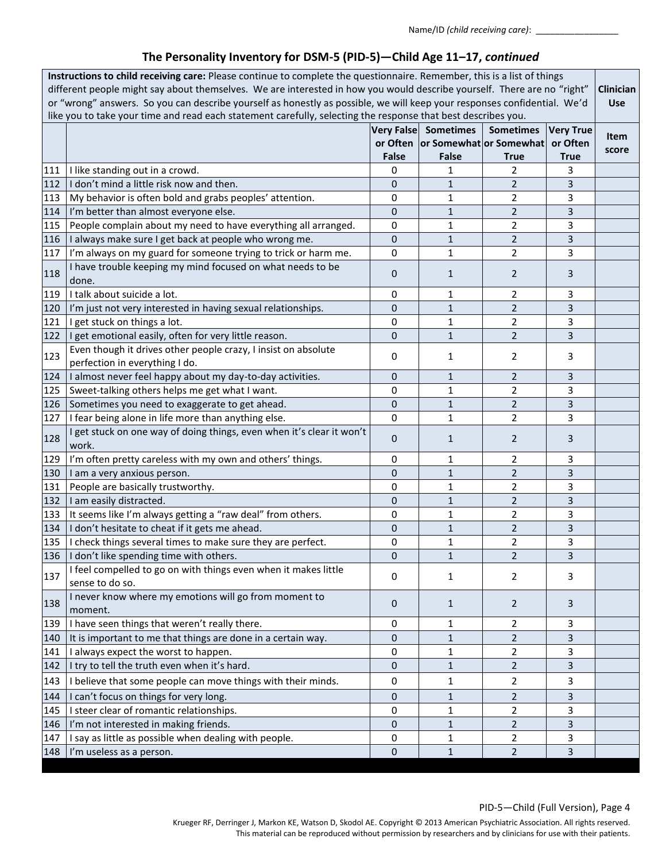| Very False Sometimes<br><b>Sometimes</b><br>Item<br>or Often or Somewhat or Somewhat<br>or Often<br>score<br><b>False</b><br>False<br><b>True</b><br>True<br>111   I like standing out in a crowd.<br>0<br>2<br>1<br>3<br>$\overline{2}$<br>112<br>I don't mind a little risk now and then.<br>$\mathbf{1}$<br>3<br>0<br>$\overline{2}$<br>3<br>0<br>1<br>113<br>My behavior is often bold and grabs peoples' attention.<br>$\overline{2}$<br>114<br>I'm better than almost everyone else.<br>0<br>1<br>3<br>$\overline{2}$<br>115<br>People complain about my need to have everything all arranged.<br>0<br>1<br>3<br>$\overline{2}$<br>0<br>3<br>116<br>I always make sure I get back at people who wrong me.<br>1<br>$\overline{2}$<br>117<br>I'm always on my guard for someone trying to trick or harm me.<br>0<br>1<br>3<br>I have trouble keeping my mind focused on what needs to be<br>118<br>0<br>$\overline{2}$<br>1<br>3<br>done.<br>I talk about suicide a lot.<br>119<br>0<br>2<br>3<br>1<br>$\overline{2}$<br>0<br>$\mathbf{1}$<br>120<br>3<br>I'm just not very interested in having sexual relationships.<br>121<br>2<br>3<br>I get stuck on things a lot.<br>0<br>1<br>$\overline{2}$<br>122<br>I get emotional easily, often for very little reason.<br>0<br>$\mathbf{1}$<br>3<br>Even though it drives other people crazy, I insist on absolute<br>123<br>0<br>1<br>$\overline{2}$<br>3<br>perfection in everything I do.<br>124<br>I almost never feel happy about my day-to-day activities.<br>0<br>$\overline{2}$<br>3<br>1<br>$\overline{2}$<br>3<br>125<br>Sweet-talking others helps me get what I want.<br>0<br>1<br>$\mathbf{1}$<br>$\overline{2}$<br>3<br>126<br>Sometimes you need to exaggerate to get ahead.<br>0<br>I fear being alone in life more than anything else.<br>1<br>$\overline{2}$<br>127<br>0<br>3<br>I get stuck on one way of doing things, even when it's clear it won't<br>128<br>$\overline{2}$<br>0<br>1<br>3<br>work.<br>129<br>I'm often pretty careless with my own and others' things.<br>0<br>2<br>3<br>1<br>$\mathbf{1}$<br>$\overline{2}$<br>130<br>0<br>3<br>I am a very anxious person.<br>131<br>People are basically trustworthy.<br>$\overline{2}$<br>0<br>1<br>3<br>$\overline{2}$<br>132<br>I am easily distracted.<br>0<br>1<br>3<br>$\overline{2}$<br>133   It seems like I'm always getting a "raw deal" from others.<br>3<br>0<br>1<br>$\mathbf{1}$<br>$\overline{2}$<br>134   I don't hesitate to cheat if it gets me ahead.<br>0<br>3<br>135   I check things several times to make sure they are perfect.<br>$\overline{2}$<br>0<br>1<br>3<br>136   I don't like spending time with others.<br>3<br>$\overline{\mathbf{c}}$<br>U<br>1<br>I feel compelled to go on with things even when it makes little<br>137<br>2<br>0<br>1<br>3<br>sense to do so.<br>I never know where my emotions will go from moment to<br>138<br>0<br>2<br>3<br>$\mathbf{1}$<br>moment.<br>139<br>I have seen things that weren't really there.<br>0<br>$\overline{2}$<br>3<br>1<br>It is important to me that things are done in a certain way.<br>$\overline{2}$<br>140<br>0<br>1<br>3<br>141<br>$\overline{2}$<br>I always expect the worst to happen.<br>0<br>3<br>1<br>$\overline{2}$<br>$\mathbf{1}$<br>3<br>142<br>I try to tell the truth even when it's hard.<br>0<br>I believe that some people can move things with their minds.<br>0<br>143<br>2<br>3<br>1<br>I can't focus on things for very long.<br>144<br>0<br>$\overline{2}$<br>3<br>1<br>I steer clear of romantic relationships.<br>145<br>2<br>3<br>0<br>1<br>$\overline{2}$<br>I'm not interested in making friends.<br>$\mathbf{1}$<br>146<br>0<br>3<br>I say as little as possible when dealing with people.<br>147<br>0<br>1<br>2<br>3<br>$\mathbf{1}$<br>$\overline{2}$<br>3<br>148   I'm useless as a person.<br>$\mathbf 0$ | Instructions to child receiving care: Please continue to complete the questionnaire. Remember, this is a list of things<br>different people might say about themselves. We are interested in how you would describe yourself. There are no "right"<br>or "wrong" answers. So you can describe yourself as honestly as possible, we will keep your responses confidential. We'd<br>like you to take your time and read each statement carefully, selecting the response that best describes you. |  |  |  |  |                  | Clinician<br><b>Use</b> |
|-----------------------------------------------------------------------------------------------------------------------------------------------------------------------------------------------------------------------------------------------------------------------------------------------------------------------------------------------------------------------------------------------------------------------------------------------------------------------------------------------------------------------------------------------------------------------------------------------------------------------------------------------------------------------------------------------------------------------------------------------------------------------------------------------------------------------------------------------------------------------------------------------------------------------------------------------------------------------------------------------------------------------------------------------------------------------------------------------------------------------------------------------------------------------------------------------------------------------------------------------------------------------------------------------------------------------------------------------------------------------------------------------------------------------------------------------------------------------------------------------------------------------------------------------------------------------------------------------------------------------------------------------------------------------------------------------------------------------------------------------------------------------------------------------------------------------------------------------------------------------------------------------------------------------------------------------------------------------------------------------------------------------------------------------------------------------------------------------------------------------------------------------------------------------------------------------------------------------------------------------------------------------------------------------------------------------------------------------------------------------------------------------------------------------------------------------------------------------------------------------------------------------------------------------------------------------------------------------------------------------------------------------------------------------------------------------------------------------------------------------------------------------------------------------------------------------------------------------------------------------------------------------------------------------------------------------------------------------------------------------------------------------------------------------------------------------------------------------------------------------------------------------------------------------------------------------------------------------------------------------------------------------------------------------------------------------------------------------------------------------------------------------------------------------------------------------------------------------------------------------------------------------------------------------------------------------------------------------------------------------------------------------------------------------------------------------------------------------------------------------------------------------------------------------------------------------------------------------------------|-------------------------------------------------------------------------------------------------------------------------------------------------------------------------------------------------------------------------------------------------------------------------------------------------------------------------------------------------------------------------------------------------------------------------------------------------------------------------------------------------|--|--|--|--|------------------|-------------------------|
|                                                                                                                                                                                                                                                                                                                                                                                                                                                                                                                                                                                                                                                                                                                                                                                                                                                                                                                                                                                                                                                                                                                                                                                                                                                                                                                                                                                                                                                                                                                                                                                                                                                                                                                                                                                                                                                                                                                                                                                                                                                                                                                                                                                                                                                                                                                                                                                                                                                                                                                                                                                                                                                                                                                                                                                                                                                                                                                                                                                                                                                                                                                                                                                                                                                                                                                                                                                                                                                                                                                                                                                                                                                                                                                                                                                                                                                           |                                                                                                                                                                                                                                                                                                                                                                                                                                                                                                 |  |  |  |  | <b>Very True</b> |                         |
|                                                                                                                                                                                                                                                                                                                                                                                                                                                                                                                                                                                                                                                                                                                                                                                                                                                                                                                                                                                                                                                                                                                                                                                                                                                                                                                                                                                                                                                                                                                                                                                                                                                                                                                                                                                                                                                                                                                                                                                                                                                                                                                                                                                                                                                                                                                                                                                                                                                                                                                                                                                                                                                                                                                                                                                                                                                                                                                                                                                                                                                                                                                                                                                                                                                                                                                                                                                                                                                                                                                                                                                                                                                                                                                                                                                                                                                           |                                                                                                                                                                                                                                                                                                                                                                                                                                                                                                 |  |  |  |  |                  |                         |
|                                                                                                                                                                                                                                                                                                                                                                                                                                                                                                                                                                                                                                                                                                                                                                                                                                                                                                                                                                                                                                                                                                                                                                                                                                                                                                                                                                                                                                                                                                                                                                                                                                                                                                                                                                                                                                                                                                                                                                                                                                                                                                                                                                                                                                                                                                                                                                                                                                                                                                                                                                                                                                                                                                                                                                                                                                                                                                                                                                                                                                                                                                                                                                                                                                                                                                                                                                                                                                                                                                                                                                                                                                                                                                                                                                                                                                                           |                                                                                                                                                                                                                                                                                                                                                                                                                                                                                                 |  |  |  |  |                  |                         |
|                                                                                                                                                                                                                                                                                                                                                                                                                                                                                                                                                                                                                                                                                                                                                                                                                                                                                                                                                                                                                                                                                                                                                                                                                                                                                                                                                                                                                                                                                                                                                                                                                                                                                                                                                                                                                                                                                                                                                                                                                                                                                                                                                                                                                                                                                                                                                                                                                                                                                                                                                                                                                                                                                                                                                                                                                                                                                                                                                                                                                                                                                                                                                                                                                                                                                                                                                                                                                                                                                                                                                                                                                                                                                                                                                                                                                                                           |                                                                                                                                                                                                                                                                                                                                                                                                                                                                                                 |  |  |  |  |                  |                         |
|                                                                                                                                                                                                                                                                                                                                                                                                                                                                                                                                                                                                                                                                                                                                                                                                                                                                                                                                                                                                                                                                                                                                                                                                                                                                                                                                                                                                                                                                                                                                                                                                                                                                                                                                                                                                                                                                                                                                                                                                                                                                                                                                                                                                                                                                                                                                                                                                                                                                                                                                                                                                                                                                                                                                                                                                                                                                                                                                                                                                                                                                                                                                                                                                                                                                                                                                                                                                                                                                                                                                                                                                                                                                                                                                                                                                                                                           |                                                                                                                                                                                                                                                                                                                                                                                                                                                                                                 |  |  |  |  |                  |                         |
|                                                                                                                                                                                                                                                                                                                                                                                                                                                                                                                                                                                                                                                                                                                                                                                                                                                                                                                                                                                                                                                                                                                                                                                                                                                                                                                                                                                                                                                                                                                                                                                                                                                                                                                                                                                                                                                                                                                                                                                                                                                                                                                                                                                                                                                                                                                                                                                                                                                                                                                                                                                                                                                                                                                                                                                                                                                                                                                                                                                                                                                                                                                                                                                                                                                                                                                                                                                                                                                                                                                                                                                                                                                                                                                                                                                                                                                           |                                                                                                                                                                                                                                                                                                                                                                                                                                                                                                 |  |  |  |  |                  |                         |
|                                                                                                                                                                                                                                                                                                                                                                                                                                                                                                                                                                                                                                                                                                                                                                                                                                                                                                                                                                                                                                                                                                                                                                                                                                                                                                                                                                                                                                                                                                                                                                                                                                                                                                                                                                                                                                                                                                                                                                                                                                                                                                                                                                                                                                                                                                                                                                                                                                                                                                                                                                                                                                                                                                                                                                                                                                                                                                                                                                                                                                                                                                                                                                                                                                                                                                                                                                                                                                                                                                                                                                                                                                                                                                                                                                                                                                                           |                                                                                                                                                                                                                                                                                                                                                                                                                                                                                                 |  |  |  |  |                  |                         |
|                                                                                                                                                                                                                                                                                                                                                                                                                                                                                                                                                                                                                                                                                                                                                                                                                                                                                                                                                                                                                                                                                                                                                                                                                                                                                                                                                                                                                                                                                                                                                                                                                                                                                                                                                                                                                                                                                                                                                                                                                                                                                                                                                                                                                                                                                                                                                                                                                                                                                                                                                                                                                                                                                                                                                                                                                                                                                                                                                                                                                                                                                                                                                                                                                                                                                                                                                                                                                                                                                                                                                                                                                                                                                                                                                                                                                                                           |                                                                                                                                                                                                                                                                                                                                                                                                                                                                                                 |  |  |  |  |                  |                         |
|                                                                                                                                                                                                                                                                                                                                                                                                                                                                                                                                                                                                                                                                                                                                                                                                                                                                                                                                                                                                                                                                                                                                                                                                                                                                                                                                                                                                                                                                                                                                                                                                                                                                                                                                                                                                                                                                                                                                                                                                                                                                                                                                                                                                                                                                                                                                                                                                                                                                                                                                                                                                                                                                                                                                                                                                                                                                                                                                                                                                                                                                                                                                                                                                                                                                                                                                                                                                                                                                                                                                                                                                                                                                                                                                                                                                                                                           |                                                                                                                                                                                                                                                                                                                                                                                                                                                                                                 |  |  |  |  |                  |                         |
|                                                                                                                                                                                                                                                                                                                                                                                                                                                                                                                                                                                                                                                                                                                                                                                                                                                                                                                                                                                                                                                                                                                                                                                                                                                                                                                                                                                                                                                                                                                                                                                                                                                                                                                                                                                                                                                                                                                                                                                                                                                                                                                                                                                                                                                                                                                                                                                                                                                                                                                                                                                                                                                                                                                                                                                                                                                                                                                                                                                                                                                                                                                                                                                                                                                                                                                                                                                                                                                                                                                                                                                                                                                                                                                                                                                                                                                           |                                                                                                                                                                                                                                                                                                                                                                                                                                                                                                 |  |  |  |  |                  |                         |
|                                                                                                                                                                                                                                                                                                                                                                                                                                                                                                                                                                                                                                                                                                                                                                                                                                                                                                                                                                                                                                                                                                                                                                                                                                                                                                                                                                                                                                                                                                                                                                                                                                                                                                                                                                                                                                                                                                                                                                                                                                                                                                                                                                                                                                                                                                                                                                                                                                                                                                                                                                                                                                                                                                                                                                                                                                                                                                                                                                                                                                                                                                                                                                                                                                                                                                                                                                                                                                                                                                                                                                                                                                                                                                                                                                                                                                                           |                                                                                                                                                                                                                                                                                                                                                                                                                                                                                                 |  |  |  |  |                  |                         |
|                                                                                                                                                                                                                                                                                                                                                                                                                                                                                                                                                                                                                                                                                                                                                                                                                                                                                                                                                                                                                                                                                                                                                                                                                                                                                                                                                                                                                                                                                                                                                                                                                                                                                                                                                                                                                                                                                                                                                                                                                                                                                                                                                                                                                                                                                                                                                                                                                                                                                                                                                                                                                                                                                                                                                                                                                                                                                                                                                                                                                                                                                                                                                                                                                                                                                                                                                                                                                                                                                                                                                                                                                                                                                                                                                                                                                                                           |                                                                                                                                                                                                                                                                                                                                                                                                                                                                                                 |  |  |  |  |                  |                         |
|                                                                                                                                                                                                                                                                                                                                                                                                                                                                                                                                                                                                                                                                                                                                                                                                                                                                                                                                                                                                                                                                                                                                                                                                                                                                                                                                                                                                                                                                                                                                                                                                                                                                                                                                                                                                                                                                                                                                                                                                                                                                                                                                                                                                                                                                                                                                                                                                                                                                                                                                                                                                                                                                                                                                                                                                                                                                                                                                                                                                                                                                                                                                                                                                                                                                                                                                                                                                                                                                                                                                                                                                                                                                                                                                                                                                                                                           |                                                                                                                                                                                                                                                                                                                                                                                                                                                                                                 |  |  |  |  |                  |                         |
|                                                                                                                                                                                                                                                                                                                                                                                                                                                                                                                                                                                                                                                                                                                                                                                                                                                                                                                                                                                                                                                                                                                                                                                                                                                                                                                                                                                                                                                                                                                                                                                                                                                                                                                                                                                                                                                                                                                                                                                                                                                                                                                                                                                                                                                                                                                                                                                                                                                                                                                                                                                                                                                                                                                                                                                                                                                                                                                                                                                                                                                                                                                                                                                                                                                                                                                                                                                                                                                                                                                                                                                                                                                                                                                                                                                                                                                           |                                                                                                                                                                                                                                                                                                                                                                                                                                                                                                 |  |  |  |  |                  |                         |
|                                                                                                                                                                                                                                                                                                                                                                                                                                                                                                                                                                                                                                                                                                                                                                                                                                                                                                                                                                                                                                                                                                                                                                                                                                                                                                                                                                                                                                                                                                                                                                                                                                                                                                                                                                                                                                                                                                                                                                                                                                                                                                                                                                                                                                                                                                                                                                                                                                                                                                                                                                                                                                                                                                                                                                                                                                                                                                                                                                                                                                                                                                                                                                                                                                                                                                                                                                                                                                                                                                                                                                                                                                                                                                                                                                                                                                                           |                                                                                                                                                                                                                                                                                                                                                                                                                                                                                                 |  |  |  |  |                  |                         |
|                                                                                                                                                                                                                                                                                                                                                                                                                                                                                                                                                                                                                                                                                                                                                                                                                                                                                                                                                                                                                                                                                                                                                                                                                                                                                                                                                                                                                                                                                                                                                                                                                                                                                                                                                                                                                                                                                                                                                                                                                                                                                                                                                                                                                                                                                                                                                                                                                                                                                                                                                                                                                                                                                                                                                                                                                                                                                                                                                                                                                                                                                                                                                                                                                                                                                                                                                                                                                                                                                                                                                                                                                                                                                                                                                                                                                                                           |                                                                                                                                                                                                                                                                                                                                                                                                                                                                                                 |  |  |  |  |                  |                         |
|                                                                                                                                                                                                                                                                                                                                                                                                                                                                                                                                                                                                                                                                                                                                                                                                                                                                                                                                                                                                                                                                                                                                                                                                                                                                                                                                                                                                                                                                                                                                                                                                                                                                                                                                                                                                                                                                                                                                                                                                                                                                                                                                                                                                                                                                                                                                                                                                                                                                                                                                                                                                                                                                                                                                                                                                                                                                                                                                                                                                                                                                                                                                                                                                                                                                                                                                                                                                                                                                                                                                                                                                                                                                                                                                                                                                                                                           |                                                                                                                                                                                                                                                                                                                                                                                                                                                                                                 |  |  |  |  |                  |                         |
|                                                                                                                                                                                                                                                                                                                                                                                                                                                                                                                                                                                                                                                                                                                                                                                                                                                                                                                                                                                                                                                                                                                                                                                                                                                                                                                                                                                                                                                                                                                                                                                                                                                                                                                                                                                                                                                                                                                                                                                                                                                                                                                                                                                                                                                                                                                                                                                                                                                                                                                                                                                                                                                                                                                                                                                                                                                                                                                                                                                                                                                                                                                                                                                                                                                                                                                                                                                                                                                                                                                                                                                                                                                                                                                                                                                                                                                           |                                                                                                                                                                                                                                                                                                                                                                                                                                                                                                 |  |  |  |  |                  |                         |
|                                                                                                                                                                                                                                                                                                                                                                                                                                                                                                                                                                                                                                                                                                                                                                                                                                                                                                                                                                                                                                                                                                                                                                                                                                                                                                                                                                                                                                                                                                                                                                                                                                                                                                                                                                                                                                                                                                                                                                                                                                                                                                                                                                                                                                                                                                                                                                                                                                                                                                                                                                                                                                                                                                                                                                                                                                                                                                                                                                                                                                                                                                                                                                                                                                                                                                                                                                                                                                                                                                                                                                                                                                                                                                                                                                                                                                                           |                                                                                                                                                                                                                                                                                                                                                                                                                                                                                                 |  |  |  |  |                  |                         |
|                                                                                                                                                                                                                                                                                                                                                                                                                                                                                                                                                                                                                                                                                                                                                                                                                                                                                                                                                                                                                                                                                                                                                                                                                                                                                                                                                                                                                                                                                                                                                                                                                                                                                                                                                                                                                                                                                                                                                                                                                                                                                                                                                                                                                                                                                                                                                                                                                                                                                                                                                                                                                                                                                                                                                                                                                                                                                                                                                                                                                                                                                                                                                                                                                                                                                                                                                                                                                                                                                                                                                                                                                                                                                                                                                                                                                                                           |                                                                                                                                                                                                                                                                                                                                                                                                                                                                                                 |  |  |  |  |                  |                         |
|                                                                                                                                                                                                                                                                                                                                                                                                                                                                                                                                                                                                                                                                                                                                                                                                                                                                                                                                                                                                                                                                                                                                                                                                                                                                                                                                                                                                                                                                                                                                                                                                                                                                                                                                                                                                                                                                                                                                                                                                                                                                                                                                                                                                                                                                                                                                                                                                                                                                                                                                                                                                                                                                                                                                                                                                                                                                                                                                                                                                                                                                                                                                                                                                                                                                                                                                                                                                                                                                                                                                                                                                                                                                                                                                                                                                                                                           |                                                                                                                                                                                                                                                                                                                                                                                                                                                                                                 |  |  |  |  |                  |                         |
|                                                                                                                                                                                                                                                                                                                                                                                                                                                                                                                                                                                                                                                                                                                                                                                                                                                                                                                                                                                                                                                                                                                                                                                                                                                                                                                                                                                                                                                                                                                                                                                                                                                                                                                                                                                                                                                                                                                                                                                                                                                                                                                                                                                                                                                                                                                                                                                                                                                                                                                                                                                                                                                                                                                                                                                                                                                                                                                                                                                                                                                                                                                                                                                                                                                                                                                                                                                                                                                                                                                                                                                                                                                                                                                                                                                                                                                           |                                                                                                                                                                                                                                                                                                                                                                                                                                                                                                 |  |  |  |  |                  |                         |
|                                                                                                                                                                                                                                                                                                                                                                                                                                                                                                                                                                                                                                                                                                                                                                                                                                                                                                                                                                                                                                                                                                                                                                                                                                                                                                                                                                                                                                                                                                                                                                                                                                                                                                                                                                                                                                                                                                                                                                                                                                                                                                                                                                                                                                                                                                                                                                                                                                                                                                                                                                                                                                                                                                                                                                                                                                                                                                                                                                                                                                                                                                                                                                                                                                                                                                                                                                                                                                                                                                                                                                                                                                                                                                                                                                                                                                                           |                                                                                                                                                                                                                                                                                                                                                                                                                                                                                                 |  |  |  |  |                  |                         |
|                                                                                                                                                                                                                                                                                                                                                                                                                                                                                                                                                                                                                                                                                                                                                                                                                                                                                                                                                                                                                                                                                                                                                                                                                                                                                                                                                                                                                                                                                                                                                                                                                                                                                                                                                                                                                                                                                                                                                                                                                                                                                                                                                                                                                                                                                                                                                                                                                                                                                                                                                                                                                                                                                                                                                                                                                                                                                                                                                                                                                                                                                                                                                                                                                                                                                                                                                                                                                                                                                                                                                                                                                                                                                                                                                                                                                                                           |                                                                                                                                                                                                                                                                                                                                                                                                                                                                                                 |  |  |  |  |                  |                         |
|                                                                                                                                                                                                                                                                                                                                                                                                                                                                                                                                                                                                                                                                                                                                                                                                                                                                                                                                                                                                                                                                                                                                                                                                                                                                                                                                                                                                                                                                                                                                                                                                                                                                                                                                                                                                                                                                                                                                                                                                                                                                                                                                                                                                                                                                                                                                                                                                                                                                                                                                                                                                                                                                                                                                                                                                                                                                                                                                                                                                                                                                                                                                                                                                                                                                                                                                                                                                                                                                                                                                                                                                                                                                                                                                                                                                                                                           |                                                                                                                                                                                                                                                                                                                                                                                                                                                                                                 |  |  |  |  |                  |                         |
|                                                                                                                                                                                                                                                                                                                                                                                                                                                                                                                                                                                                                                                                                                                                                                                                                                                                                                                                                                                                                                                                                                                                                                                                                                                                                                                                                                                                                                                                                                                                                                                                                                                                                                                                                                                                                                                                                                                                                                                                                                                                                                                                                                                                                                                                                                                                                                                                                                                                                                                                                                                                                                                                                                                                                                                                                                                                                                                                                                                                                                                                                                                                                                                                                                                                                                                                                                                                                                                                                                                                                                                                                                                                                                                                                                                                                                                           |                                                                                                                                                                                                                                                                                                                                                                                                                                                                                                 |  |  |  |  |                  |                         |
|                                                                                                                                                                                                                                                                                                                                                                                                                                                                                                                                                                                                                                                                                                                                                                                                                                                                                                                                                                                                                                                                                                                                                                                                                                                                                                                                                                                                                                                                                                                                                                                                                                                                                                                                                                                                                                                                                                                                                                                                                                                                                                                                                                                                                                                                                                                                                                                                                                                                                                                                                                                                                                                                                                                                                                                                                                                                                                                                                                                                                                                                                                                                                                                                                                                                                                                                                                                                                                                                                                                                                                                                                                                                                                                                                                                                                                                           |                                                                                                                                                                                                                                                                                                                                                                                                                                                                                                 |  |  |  |  |                  |                         |
|                                                                                                                                                                                                                                                                                                                                                                                                                                                                                                                                                                                                                                                                                                                                                                                                                                                                                                                                                                                                                                                                                                                                                                                                                                                                                                                                                                                                                                                                                                                                                                                                                                                                                                                                                                                                                                                                                                                                                                                                                                                                                                                                                                                                                                                                                                                                                                                                                                                                                                                                                                                                                                                                                                                                                                                                                                                                                                                                                                                                                                                                                                                                                                                                                                                                                                                                                                                                                                                                                                                                                                                                                                                                                                                                                                                                                                                           |                                                                                                                                                                                                                                                                                                                                                                                                                                                                                                 |  |  |  |  |                  |                         |
|                                                                                                                                                                                                                                                                                                                                                                                                                                                                                                                                                                                                                                                                                                                                                                                                                                                                                                                                                                                                                                                                                                                                                                                                                                                                                                                                                                                                                                                                                                                                                                                                                                                                                                                                                                                                                                                                                                                                                                                                                                                                                                                                                                                                                                                                                                                                                                                                                                                                                                                                                                                                                                                                                                                                                                                                                                                                                                                                                                                                                                                                                                                                                                                                                                                                                                                                                                                                                                                                                                                                                                                                                                                                                                                                                                                                                                                           |                                                                                                                                                                                                                                                                                                                                                                                                                                                                                                 |  |  |  |  |                  |                         |
|                                                                                                                                                                                                                                                                                                                                                                                                                                                                                                                                                                                                                                                                                                                                                                                                                                                                                                                                                                                                                                                                                                                                                                                                                                                                                                                                                                                                                                                                                                                                                                                                                                                                                                                                                                                                                                                                                                                                                                                                                                                                                                                                                                                                                                                                                                                                                                                                                                                                                                                                                                                                                                                                                                                                                                                                                                                                                                                                                                                                                                                                                                                                                                                                                                                                                                                                                                                                                                                                                                                                                                                                                                                                                                                                                                                                                                                           |                                                                                                                                                                                                                                                                                                                                                                                                                                                                                                 |  |  |  |  |                  |                         |
|                                                                                                                                                                                                                                                                                                                                                                                                                                                                                                                                                                                                                                                                                                                                                                                                                                                                                                                                                                                                                                                                                                                                                                                                                                                                                                                                                                                                                                                                                                                                                                                                                                                                                                                                                                                                                                                                                                                                                                                                                                                                                                                                                                                                                                                                                                                                                                                                                                                                                                                                                                                                                                                                                                                                                                                                                                                                                                                                                                                                                                                                                                                                                                                                                                                                                                                                                                                                                                                                                                                                                                                                                                                                                                                                                                                                                                                           |                                                                                                                                                                                                                                                                                                                                                                                                                                                                                                 |  |  |  |  |                  |                         |
|                                                                                                                                                                                                                                                                                                                                                                                                                                                                                                                                                                                                                                                                                                                                                                                                                                                                                                                                                                                                                                                                                                                                                                                                                                                                                                                                                                                                                                                                                                                                                                                                                                                                                                                                                                                                                                                                                                                                                                                                                                                                                                                                                                                                                                                                                                                                                                                                                                                                                                                                                                                                                                                                                                                                                                                                                                                                                                                                                                                                                                                                                                                                                                                                                                                                                                                                                                                                                                                                                                                                                                                                                                                                                                                                                                                                                                                           |                                                                                                                                                                                                                                                                                                                                                                                                                                                                                                 |  |  |  |  |                  |                         |
|                                                                                                                                                                                                                                                                                                                                                                                                                                                                                                                                                                                                                                                                                                                                                                                                                                                                                                                                                                                                                                                                                                                                                                                                                                                                                                                                                                                                                                                                                                                                                                                                                                                                                                                                                                                                                                                                                                                                                                                                                                                                                                                                                                                                                                                                                                                                                                                                                                                                                                                                                                                                                                                                                                                                                                                                                                                                                                                                                                                                                                                                                                                                                                                                                                                                                                                                                                                                                                                                                                                                                                                                                                                                                                                                                                                                                                                           |                                                                                                                                                                                                                                                                                                                                                                                                                                                                                                 |  |  |  |  |                  |                         |
|                                                                                                                                                                                                                                                                                                                                                                                                                                                                                                                                                                                                                                                                                                                                                                                                                                                                                                                                                                                                                                                                                                                                                                                                                                                                                                                                                                                                                                                                                                                                                                                                                                                                                                                                                                                                                                                                                                                                                                                                                                                                                                                                                                                                                                                                                                                                                                                                                                                                                                                                                                                                                                                                                                                                                                                                                                                                                                                                                                                                                                                                                                                                                                                                                                                                                                                                                                                                                                                                                                                                                                                                                                                                                                                                                                                                                                                           |                                                                                                                                                                                                                                                                                                                                                                                                                                                                                                 |  |  |  |  |                  |                         |
|                                                                                                                                                                                                                                                                                                                                                                                                                                                                                                                                                                                                                                                                                                                                                                                                                                                                                                                                                                                                                                                                                                                                                                                                                                                                                                                                                                                                                                                                                                                                                                                                                                                                                                                                                                                                                                                                                                                                                                                                                                                                                                                                                                                                                                                                                                                                                                                                                                                                                                                                                                                                                                                                                                                                                                                                                                                                                                                                                                                                                                                                                                                                                                                                                                                                                                                                                                                                                                                                                                                                                                                                                                                                                                                                                                                                                                                           |                                                                                                                                                                                                                                                                                                                                                                                                                                                                                                 |  |  |  |  |                  |                         |
|                                                                                                                                                                                                                                                                                                                                                                                                                                                                                                                                                                                                                                                                                                                                                                                                                                                                                                                                                                                                                                                                                                                                                                                                                                                                                                                                                                                                                                                                                                                                                                                                                                                                                                                                                                                                                                                                                                                                                                                                                                                                                                                                                                                                                                                                                                                                                                                                                                                                                                                                                                                                                                                                                                                                                                                                                                                                                                                                                                                                                                                                                                                                                                                                                                                                                                                                                                                                                                                                                                                                                                                                                                                                                                                                                                                                                                                           |                                                                                                                                                                                                                                                                                                                                                                                                                                                                                                 |  |  |  |  |                  |                         |
|                                                                                                                                                                                                                                                                                                                                                                                                                                                                                                                                                                                                                                                                                                                                                                                                                                                                                                                                                                                                                                                                                                                                                                                                                                                                                                                                                                                                                                                                                                                                                                                                                                                                                                                                                                                                                                                                                                                                                                                                                                                                                                                                                                                                                                                                                                                                                                                                                                                                                                                                                                                                                                                                                                                                                                                                                                                                                                                                                                                                                                                                                                                                                                                                                                                                                                                                                                                                                                                                                                                                                                                                                                                                                                                                                                                                                                                           |                                                                                                                                                                                                                                                                                                                                                                                                                                                                                                 |  |  |  |  |                  |                         |
|                                                                                                                                                                                                                                                                                                                                                                                                                                                                                                                                                                                                                                                                                                                                                                                                                                                                                                                                                                                                                                                                                                                                                                                                                                                                                                                                                                                                                                                                                                                                                                                                                                                                                                                                                                                                                                                                                                                                                                                                                                                                                                                                                                                                                                                                                                                                                                                                                                                                                                                                                                                                                                                                                                                                                                                                                                                                                                                                                                                                                                                                                                                                                                                                                                                                                                                                                                                                                                                                                                                                                                                                                                                                                                                                                                                                                                                           |                                                                                                                                                                                                                                                                                                                                                                                                                                                                                                 |  |  |  |  |                  |                         |
|                                                                                                                                                                                                                                                                                                                                                                                                                                                                                                                                                                                                                                                                                                                                                                                                                                                                                                                                                                                                                                                                                                                                                                                                                                                                                                                                                                                                                                                                                                                                                                                                                                                                                                                                                                                                                                                                                                                                                                                                                                                                                                                                                                                                                                                                                                                                                                                                                                                                                                                                                                                                                                                                                                                                                                                                                                                                                                                                                                                                                                                                                                                                                                                                                                                                                                                                                                                                                                                                                                                                                                                                                                                                                                                                                                                                                                                           |                                                                                                                                                                                                                                                                                                                                                                                                                                                                                                 |  |  |  |  |                  |                         |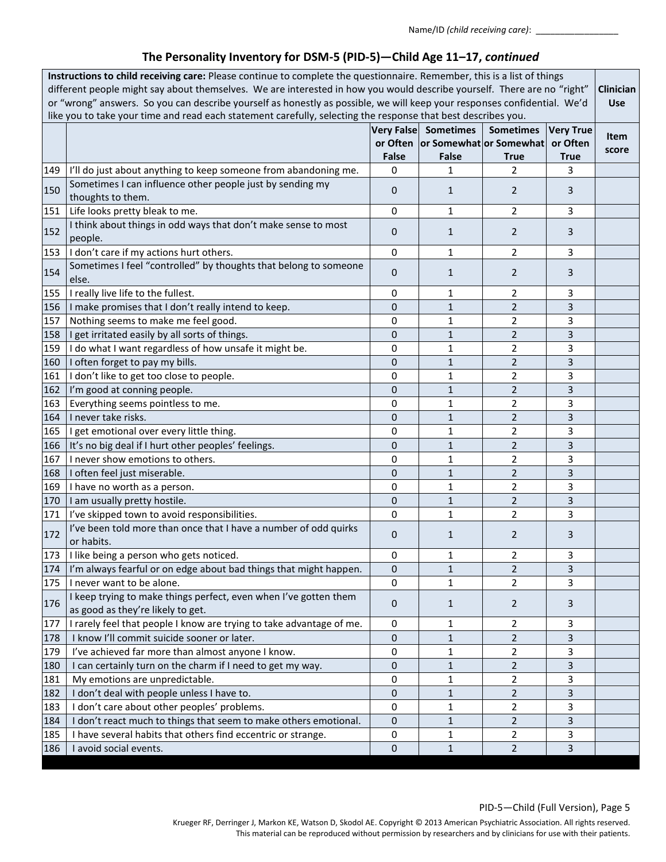| Instructions to child receiving care: Please continue to complete the questionnaire. Remember, this is a list of things<br>different people might say about themselves. We are interested in how you would describe yourself. There are no "right"<br>or "wrong" answers. So you can describe yourself as honestly as possible, we will keep your responses confidential. We'd<br>like you to take your time and read each statement carefully, selecting the response that best describes you. |                                                                                                       |                                   |                                                                        |                                 |                                             | Clinician<br><b>Use</b> |
|-------------------------------------------------------------------------------------------------------------------------------------------------------------------------------------------------------------------------------------------------------------------------------------------------------------------------------------------------------------------------------------------------------------------------------------------------------------------------------------------------|-------------------------------------------------------------------------------------------------------|-----------------------------------|------------------------------------------------------------------------|---------------------------------|---------------------------------------------|-------------------------|
|                                                                                                                                                                                                                                                                                                                                                                                                                                                                                                 |                                                                                                       | <b>Very False</b><br><b>False</b> | <b>Sometimes</b><br>or Often  or Somewhat  or Somewhat<br><b>False</b> | <b>Sometimes</b><br><b>True</b> | <b>Very True</b><br>or Often<br><b>True</b> | Item<br>score           |
| 149                                                                                                                                                                                                                                                                                                                                                                                                                                                                                             | I'll do just about anything to keep someone from abandoning me.                                       | 0                                 | 1                                                                      | 2                               | 3                                           |                         |
| 150                                                                                                                                                                                                                                                                                                                                                                                                                                                                                             | Sometimes I can influence other people just by sending my<br>thoughts to them.                        | 0                                 | 1                                                                      | $\overline{2}$                  | 3                                           |                         |
| 151                                                                                                                                                                                                                                                                                                                                                                                                                                                                                             | Life looks pretty bleak to me.                                                                        | 0                                 | 1                                                                      | $\overline{2}$                  | 3                                           |                         |
| 152                                                                                                                                                                                                                                                                                                                                                                                                                                                                                             | I think about things in odd ways that don't make sense to most<br>people.                             | 0                                 | $\mathbf{1}$                                                           | $\overline{2}$                  | 3                                           |                         |
| 153                                                                                                                                                                                                                                                                                                                                                                                                                                                                                             | I don't care if my actions hurt others.                                                               | 0                                 | 1                                                                      | $\overline{2}$                  | 3                                           |                         |
| 154                                                                                                                                                                                                                                                                                                                                                                                                                                                                                             | Sometimes I feel "controlled" by thoughts that belong to someone<br>else.                             | 0                                 | 1                                                                      | $\overline{2}$                  | 3                                           |                         |
| 155                                                                                                                                                                                                                                                                                                                                                                                                                                                                                             | I really live life to the fullest.                                                                    | 0                                 | 1                                                                      | $\overline{2}$                  | 3                                           |                         |
| 156                                                                                                                                                                                                                                                                                                                                                                                                                                                                                             | I make promises that I don't really intend to keep.                                                   | 0                                 | $\mathbf{1}$                                                           | $\overline{2}$                  | 3                                           |                         |
| 157                                                                                                                                                                                                                                                                                                                                                                                                                                                                                             | Nothing seems to make me feel good.                                                                   | 0                                 | 1                                                                      | $\overline{2}$                  | 3                                           |                         |
| 158                                                                                                                                                                                                                                                                                                                                                                                                                                                                                             | I get irritated easily by all sorts of things.                                                        | 0                                 | $\overline{1}$                                                         | $\overline{2}$                  | 3                                           |                         |
| 159                                                                                                                                                                                                                                                                                                                                                                                                                                                                                             | I do what I want regardless of how unsafe it might be.                                                | 0                                 | 1                                                                      | $\overline{2}$                  | 3                                           |                         |
| 160                                                                                                                                                                                                                                                                                                                                                                                                                                                                                             | I often forget to pay my bills.                                                                       | 0                                 | $\mathbf{1}$                                                           | $\overline{2}$                  | 3                                           |                         |
| 161                                                                                                                                                                                                                                                                                                                                                                                                                                                                                             | I don't like to get too close to people.                                                              | 0                                 | 1                                                                      | $\overline{2}$                  | 3                                           |                         |
| 162                                                                                                                                                                                                                                                                                                                                                                                                                                                                                             | I'm good at conning people.                                                                           | 0                                 | 1                                                                      | 2                               | 3                                           |                         |
| 163                                                                                                                                                                                                                                                                                                                                                                                                                                                                                             | Everything seems pointless to me.                                                                     | 0                                 | 1                                                                      | 2                               | 3                                           |                         |
| 164                                                                                                                                                                                                                                                                                                                                                                                                                                                                                             | I never take risks.                                                                                   | 0                                 | $\mathbf{1}$                                                           | $\overline{2}$                  | 3                                           |                         |
| 165                                                                                                                                                                                                                                                                                                                                                                                                                                                                                             | I get emotional over every little thing.                                                              | 0                                 | 1                                                                      | $\overline{2}$                  | 3                                           |                         |
| 166                                                                                                                                                                                                                                                                                                                                                                                                                                                                                             | It's no big deal if I hurt other peoples' feelings.                                                   | 0                                 | $\mathbf{1}$                                                           | $\overline{2}$                  | 3                                           |                         |
| 167                                                                                                                                                                                                                                                                                                                                                                                                                                                                                             | I never show emotions to others.                                                                      | $\mathbf 0$                       | 1                                                                      | $\overline{2}$                  | 3                                           |                         |
| 168                                                                                                                                                                                                                                                                                                                                                                                                                                                                                             | I often feel just miserable.                                                                          | 0                                 | $\mathbf{1}$                                                           | $\overline{2}$                  | 3                                           |                         |
| 169                                                                                                                                                                                                                                                                                                                                                                                                                                                                                             | I have no worth as a person.                                                                          | 0                                 | 1                                                                      | $\overline{2}$                  | 3                                           |                         |
| 170                                                                                                                                                                                                                                                                                                                                                                                                                                                                                             | I am usually pretty hostile.                                                                          | 0                                 | $\mathbf{1}$                                                           | $\overline{2}$                  | 3                                           |                         |
|                                                                                                                                                                                                                                                                                                                                                                                                                                                                                                 | 171  I've skipped town to avoid responsibilities.                                                     | 0                                 | 1                                                                      | $\overline{2}$                  | 3                                           |                         |
| 172                                                                                                                                                                                                                                                                                                                                                                                                                                                                                             | I've been told more than once that I have a number of odd quirks<br>or habits.                        | 0                                 | 1                                                                      | $\overline{2}$                  | 3                                           |                         |
|                                                                                                                                                                                                                                                                                                                                                                                                                                                                                                 | 173   I like being a person who gets noticed.                                                         | 0                                 | 1                                                                      | 2                               | 3                                           |                         |
| 174                                                                                                                                                                                                                                                                                                                                                                                                                                                                                             | I'm always fearful or on edge about bad things that might happen.                                     | 0                                 | $\mathbf{1}$                                                           | $\overline{2}$                  | 3                                           |                         |
| 175                                                                                                                                                                                                                                                                                                                                                                                                                                                                                             | I never want to be alone.                                                                             | $\mathbf 0$                       | $\mathbf{1}$                                                           | $\overline{2}$                  | 3                                           |                         |
| 176                                                                                                                                                                                                                                                                                                                                                                                                                                                                                             | I keep trying to make things perfect, even when I've gotten them<br>as good as they're likely to get. | 0                                 | $\mathbf{1}$                                                           | $\overline{2}$                  | 3                                           |                         |
| 177                                                                                                                                                                                                                                                                                                                                                                                                                                                                                             | I rarely feel that people I know are trying to take advantage of me.                                  | 0                                 | 1                                                                      | 2                               | 3                                           |                         |
| 178                                                                                                                                                                                                                                                                                                                                                                                                                                                                                             | I know I'll commit suicide sooner or later.                                                           | 0                                 | $\mathbf{1}$                                                           | $\overline{2}$                  | 3                                           |                         |
| 179                                                                                                                                                                                                                                                                                                                                                                                                                                                                                             | I've achieved far more than almost anyone I know.                                                     | 0                                 | 1                                                                      | $\overline{2}$                  | 3                                           |                         |
| 180                                                                                                                                                                                                                                                                                                                                                                                                                                                                                             | I can certainly turn on the charm if I need to get my way.                                            | 0                                 | $\mathbf{1}$                                                           | $\overline{2}$                  | 3                                           |                         |
| 181                                                                                                                                                                                                                                                                                                                                                                                                                                                                                             | My emotions are unpredictable.                                                                        | 0                                 | 1                                                                      | $\overline{2}$                  | 3                                           |                         |
| 182                                                                                                                                                                                                                                                                                                                                                                                                                                                                                             | I don't deal with people unless I have to.                                                            | 0                                 | $\mathbf{1}$                                                           | $\overline{2}$                  | 3                                           |                         |
| 183                                                                                                                                                                                                                                                                                                                                                                                                                                                                                             | I don't care about other peoples' problems.                                                           | 0                                 | 1                                                                      | $\overline{2}$                  | 3                                           |                         |
| 184                                                                                                                                                                                                                                                                                                                                                                                                                                                                                             | I don't react much to things that seem to make others emotional.                                      | $\mathbf 0$                       | $\mathbf{1}$                                                           | $\overline{2}$                  | 3                                           |                         |
| 185                                                                                                                                                                                                                                                                                                                                                                                                                                                                                             | I have several habits that others find eccentric or strange.                                          | 0                                 | 1                                                                      | $\overline{2}$                  | 3                                           |                         |
| 186                                                                                                                                                                                                                                                                                                                                                                                                                                                                                             | I avoid social events.                                                                                | 0                                 | $1\,$                                                                  | $\overline{2}$                  | 3                                           |                         |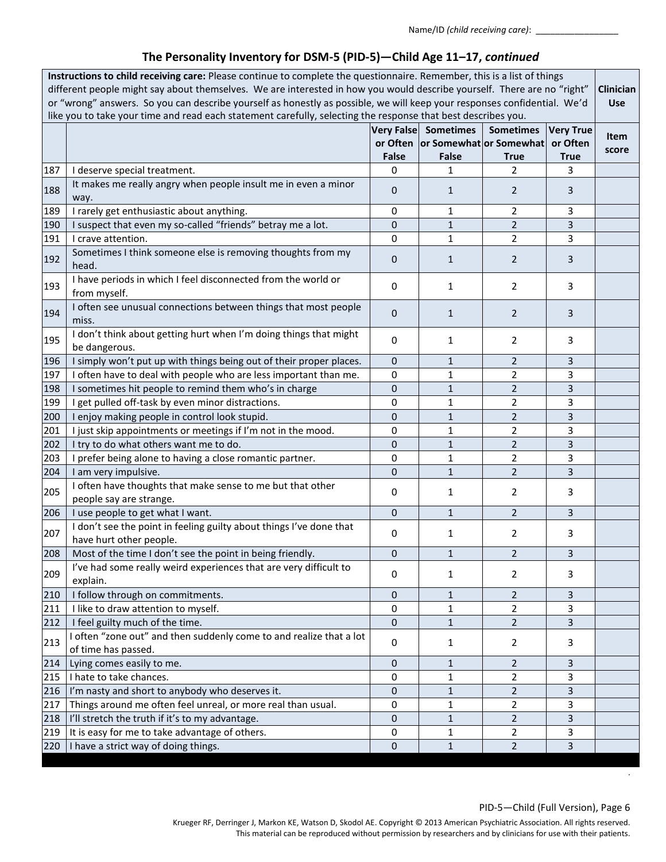| Instructions to child receiving care: Please continue to complete the questionnaire. Remember, this is a list of things<br>different people might say about themselves. We are interested in how you would describe yourself. There are no "right"<br>Clinician<br>or "wrong" answers. So you can describe yourself as honestly as possible, we will keep your responses confidential. We'd<br>like you to take your time and read each statement carefully, selecting the response that best describes you. |                                                                                                |              |                                                                       |                                 |                                             |               |
|--------------------------------------------------------------------------------------------------------------------------------------------------------------------------------------------------------------------------------------------------------------------------------------------------------------------------------------------------------------------------------------------------------------------------------------------------------------------------------------------------------------|------------------------------------------------------------------------------------------------|--------------|-----------------------------------------------------------------------|---------------------------------|---------------------------------------------|---------------|
|                                                                                                                                                                                                                                                                                                                                                                                                                                                                                                              |                                                                                                | <b>False</b> | Very False Sometimes<br>or Often   or Somewhat   or Somewhat<br>False | <b>Sometimes</b><br><b>True</b> | <b>Very True</b><br>or Often<br><b>True</b> | Item<br>score |
| 187                                                                                                                                                                                                                                                                                                                                                                                                                                                                                                          | I deserve special treatment.                                                                   | 0            | 1                                                                     | $\overline{2}$                  | 3                                           |               |
| 188                                                                                                                                                                                                                                                                                                                                                                                                                                                                                                          | It makes me really angry when people insult me in even a minor<br>way.                         | $\mathbf{0}$ | 1                                                                     | 2                               | 3                                           |               |
| 189                                                                                                                                                                                                                                                                                                                                                                                                                                                                                                          | I rarely get enthusiastic about anything.                                                      | 0            | 1                                                                     | 2                               | 3                                           |               |
| 190                                                                                                                                                                                                                                                                                                                                                                                                                                                                                                          | I suspect that even my so-called "friends" betray me a lot.                                    | 0            | $\mathbf{1}$                                                          | $\overline{2}$                  | 3                                           |               |
| 191                                                                                                                                                                                                                                                                                                                                                                                                                                                                                                          | I crave attention.                                                                             | $\mathbf 0$  | 1                                                                     | $\overline{2}$                  | 3                                           |               |
| 192                                                                                                                                                                                                                                                                                                                                                                                                                                                                                                          | Sometimes I think someone else is removing thoughts from my<br>head.                           | $\mathbf{0}$ | 1                                                                     | $\overline{2}$                  | 3                                           |               |
| 193                                                                                                                                                                                                                                                                                                                                                                                                                                                                                                          | I have periods in which I feel disconnected from the world or<br>from myself.                  | $\mathbf 0$  | 1                                                                     | $\overline{2}$                  | 3                                           |               |
| 194                                                                                                                                                                                                                                                                                                                                                                                                                                                                                                          | I often see unusual connections between things that most people<br>miss.                       | $\mathbf{0}$ | $\mathbf{1}$                                                          | $\overline{2}$                  | 3                                           |               |
| 195                                                                                                                                                                                                                                                                                                                                                                                                                                                                                                          | I don't think about getting hurt when I'm doing things that might<br>be dangerous.             | $\mathbf 0$  | 1                                                                     | $\overline{2}$                  | 3                                           |               |
| 196                                                                                                                                                                                                                                                                                                                                                                                                                                                                                                          | I simply won't put up with things being out of their proper places.                            | $\mathbf 0$  | 1                                                                     | $\overline{2}$                  | 3                                           |               |
| 197                                                                                                                                                                                                                                                                                                                                                                                                                                                                                                          | I often have to deal with people who are less important than me.                               | 0            | 1                                                                     | 2                               | 3                                           |               |
| 198                                                                                                                                                                                                                                                                                                                                                                                                                                                                                                          | I sometimes hit people to remind them who's in charge                                          | 0            | $\mathbf{1}$                                                          | $\overline{2}$                  | 3                                           |               |
| 199                                                                                                                                                                                                                                                                                                                                                                                                                                                                                                          | I get pulled off-task by even minor distractions.                                              | 0            | 1                                                                     | $\overline{2}$                  | 3                                           |               |
| 200                                                                                                                                                                                                                                                                                                                                                                                                                                                                                                          | I enjoy making people in control look stupid.                                                  | $\mathbf{0}$ | $\mathbf{1}$                                                          | $\overline{2}$                  | 3                                           |               |
| 201                                                                                                                                                                                                                                                                                                                                                                                                                                                                                                          | I just skip appointments or meetings if I'm not in the mood.                                   | 0            | 1                                                                     | $\overline{2}$                  | 3                                           |               |
| 202                                                                                                                                                                                                                                                                                                                                                                                                                                                                                                          | I try to do what others want me to do.                                                         | 0            | $\mathbf{1}$                                                          | $\overline{2}$                  | 3                                           |               |
| 203                                                                                                                                                                                                                                                                                                                                                                                                                                                                                                          | I prefer being alone to having a close romantic partner.                                       | $\mathbf 0$  | $\mathbf{1}$                                                          | $\overline{2}$                  | 3                                           |               |
| 204                                                                                                                                                                                                                                                                                                                                                                                                                                                                                                          | I am very impulsive.                                                                           | $\mathbf 0$  | $\mathbf{1}$                                                          | $\overline{2}$                  | 3                                           |               |
| 205                                                                                                                                                                                                                                                                                                                                                                                                                                                                                                          | I often have thoughts that make sense to me but that other<br>people say are strange.          | 0            | 1                                                                     | 2                               | 3                                           |               |
| 206                                                                                                                                                                                                                                                                                                                                                                                                                                                                                                          | I use people to get what I want.                                                               | $\mathbf 0$  | $\mathbf{1}$                                                          | $\overline{2}$                  | 3                                           |               |
| 207                                                                                                                                                                                                                                                                                                                                                                                                                                                                                                          | I don't see the point in feeling guilty about things I've done that<br>have hurt other people. | 0            | 1                                                                     | $\overline{2}$                  | 3                                           |               |
|                                                                                                                                                                                                                                                                                                                                                                                                                                                                                                              | 208   Most of the time I don't see the point in being friendly.                                | 0            | $\mathbf{1}$                                                          | $\overline{2}$                  | 3                                           |               |
| 209                                                                                                                                                                                                                                                                                                                                                                                                                                                                                                          | I've had some really weird experiences that are very difficult to<br>explain.                  | $\mathbf 0$  | 1                                                                     | 2                               | 3                                           |               |
| 210                                                                                                                                                                                                                                                                                                                                                                                                                                                                                                          | I follow through on commitments.                                                               | 0            | 1                                                                     | $\overline{2}$                  | 3                                           |               |
| 211                                                                                                                                                                                                                                                                                                                                                                                                                                                                                                          | I like to draw attention to myself.                                                            | 0            | 1                                                                     | $\overline{2}$                  | 3                                           |               |
| 212                                                                                                                                                                                                                                                                                                                                                                                                                                                                                                          | I feel guilty much of the time.                                                                | $\pmb{0}$    | 1                                                                     | $\overline{2}$                  | $\overline{3}$                              |               |
| 213                                                                                                                                                                                                                                                                                                                                                                                                                                                                                                          | I often "zone out" and then suddenly come to and realize that a lot<br>of time has passed.     | 0            | 1                                                                     | 2                               | 3                                           |               |
| 214                                                                                                                                                                                                                                                                                                                                                                                                                                                                                                          | Lying comes easily to me.                                                                      | 0            | 1                                                                     | $\overline{2}$                  | 3                                           |               |
| 215                                                                                                                                                                                                                                                                                                                                                                                                                                                                                                          | I hate to take chances.                                                                        | 0            | 1                                                                     | $\overline{2}$                  | 3                                           |               |
| 216                                                                                                                                                                                                                                                                                                                                                                                                                                                                                                          | I'm nasty and short to anybody who deserves it.                                                | 0            | 1                                                                     | $\overline{2}$                  | 3                                           |               |
| 217                                                                                                                                                                                                                                                                                                                                                                                                                                                                                                          | Things around me often feel unreal, or more real than usual.                                   | 0            | 1                                                                     | $\overline{2}$                  | 3                                           |               |
| 218                                                                                                                                                                                                                                                                                                                                                                                                                                                                                                          | I'll stretch the truth if it's to my advantage.                                                | $\mathbf 0$  | 1                                                                     | $\overline{2}$                  | 3                                           |               |
| 219                                                                                                                                                                                                                                                                                                                                                                                                                                                                                                          | It is easy for me to take advantage of others.                                                 | $\mathbf 0$  | 1                                                                     | $\overline{2}$                  | 3                                           |               |
| 220                                                                                                                                                                                                                                                                                                                                                                                                                                                                                                          | I have a strict way of doing things.                                                           | $\mathbf 0$  | $\mathbf{1}$                                                          | $\overline{2}$                  | 3                                           |               |

.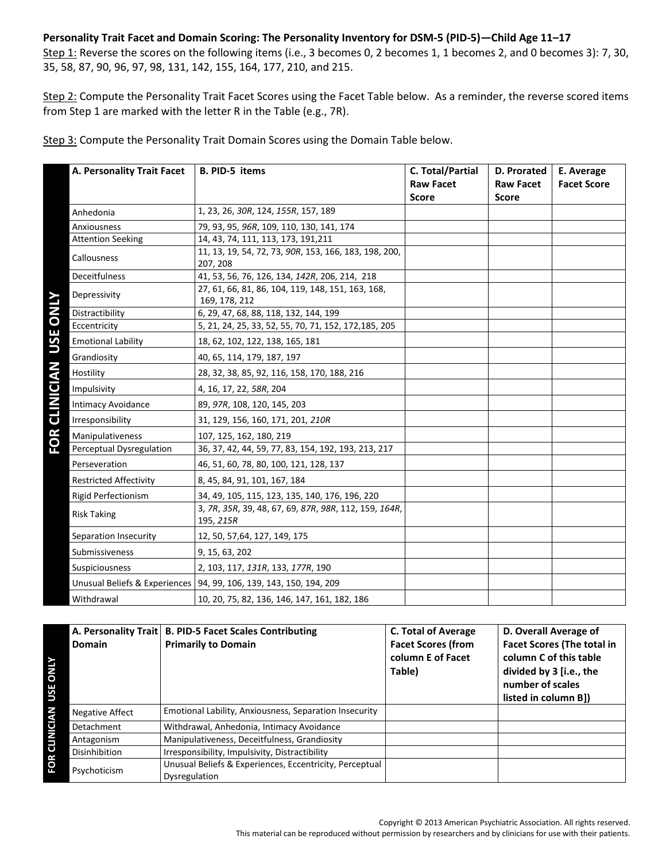### **Personality Trait Facet and Domain Scoring: The Personality Inventory for DSM-5 (PID-5)—Child Age 11–17** Step 1: Reverse the scores on the following items (i.e., 3 becomes 0, 2 becomes 1, 1 becomes 2, and 0 becomes 3): 7, 30,

35, 58, 87, 90, 96, 97, 98, 131, 142, 155, 164, 177, 210, and 215.

Step 2: Compute the Personality Trait Facet Scores using the Facet Table below. As a reminder, the reverse scored items from Step 1 are marked with the letter R in the Table (e.g., 7R).

Step 3: Compute the Personality Trait Domain Scores using the Domain Table below.

| A. Personality Trait Facet       | <b>B. PID-5 items</b>                                                | C. Total/Partial<br><b>Raw Facet</b><br><b>Score</b> | D. Prorated<br><b>Raw Facet</b><br><b>Score</b> | E. Average<br><b>Facet Score</b> |
|----------------------------------|----------------------------------------------------------------------|------------------------------------------------------|-------------------------------------------------|----------------------------------|
| Anhedonia                        | 1, 23, 26, 30R, 124, 155R, 157, 189                                  |                                                      |                                                 |                                  |
| Anxiousness                      | 79, 93, 95, 96R, 109, 110, 130, 141, 174                             |                                                      |                                                 |                                  |
| <b>Attention Seeking</b>         | 14, 43, 74, 111, 113, 173, 191, 211                                  |                                                      |                                                 |                                  |
| Callousness                      | 11, 13, 19, 54, 72, 73, 90R, 153, 166, 183, 198, 200,<br>207, 208    |                                                      |                                                 |                                  |
| <b>Deceitfulness</b>             | 41, 53, 56, 76, 126, 134, 142R, 206, 214, 218                        |                                                      |                                                 |                                  |
| Depressivity<br><b>NIND</b>      | 27, 61, 66, 81, 86, 104, 119, 148, 151, 163, 168,<br>169, 178, 212   |                                                      |                                                 |                                  |
| Distractibility                  | 6, 29, 47, 68, 88, 118, 132, 144, 199                                |                                                      |                                                 |                                  |
| Eccentricity                     | 5, 21, 24, 25, 33, 52, 55, 70, 71, 152, 172, 185, 205                |                                                      |                                                 |                                  |
| USE<br><b>Emotional Lability</b> | 18, 62, 102, 122, 138, 165, 181                                      |                                                      |                                                 |                                  |
| Grandiosity                      | 40, 65, 114, 179, 187, 197                                           |                                                      |                                                 |                                  |
| Hostility                        | 28, 32, 38, 85, 92, 116, 158, 170, 188, 216                          |                                                      |                                                 |                                  |
| Impulsivity                      | 4, 16, 17, 22, 58R, 204                                              |                                                      |                                                 |                                  |
| <b>Intimacy Avoidance</b>        | 89, 97R, 108, 120, 145, 203                                          |                                                      |                                                 |                                  |
| Irresponsibility                 | 31, 129, 156, 160, 171, 201, 210R                                    |                                                      |                                                 |                                  |
| Manipulativeness                 | 107, 125, 162, 180, 219                                              |                                                      |                                                 |                                  |
| <b>Perceptual Dysregulation</b>  | 36, 37, 42, 44, 59, 77, 83, 154, 192, 193, 213, 217                  |                                                      |                                                 |                                  |
| Perseveration                    | 46, 51, 60, 78, 80, 100, 121, 128, 137                               |                                                      |                                                 |                                  |
| <b>Restricted Affectivity</b>    | 8, 45, 84, 91, 101, 167, 184                                         |                                                      |                                                 |                                  |
| <b>Rigid Perfectionism</b>       | 34, 49, 105, 115, 123, 135, 140, 176, 196, 220                       |                                                      |                                                 |                                  |
| <b>Risk Taking</b>               | 3, 7R, 35R, 39, 48, 67, 69, 87R, 98R, 112, 159, 164R,<br>195, 215R   |                                                      |                                                 |                                  |
| Separation Insecurity            | 12, 50, 57, 64, 127, 149, 175                                        |                                                      |                                                 |                                  |
| Submissiveness                   | 9, 15, 63, 202                                                       |                                                      |                                                 |                                  |
| Suspiciousness                   | 2, 103, 117, 131R, 133, 177R, 190                                    |                                                      |                                                 |                                  |
|                                  | Unusual Beliefs & Experiences   94, 99, 106, 139, 143, 150, 194, 209 |                                                      |                                                 |                                  |
| Withdrawal                       | 10, 20, 75, 82, 136, 146, 147, 161, 182, 186                         |                                                      |                                                 |                                  |

| <b>SNI</b><br>USE | <b>Domain</b>   | A. Personality Trait   B. PID-5 Facet Scales Contributing<br><b>Primarily to Domain</b> | <b>C. Total of Average</b><br><b>Facet Scores (from</b><br>column E of Facet<br>Table) | D. Overall Average of<br><b>Facet Scores (The total in</b><br>column C of this table<br>divided by 3 [i.e., the<br>number of scales<br>listed in column B]) |
|-------------------|-----------------|-----------------------------------------------------------------------------------------|----------------------------------------------------------------------------------------|-------------------------------------------------------------------------------------------------------------------------------------------------------------|
|                   | Negative Affect | Emotional Lability, Anxiousness, Separation Insecurity                                  |                                                                                        |                                                                                                                                                             |
| ರ                 | Detachment      | Withdrawal, Anhedonia, Intimacy Avoidance                                               |                                                                                        |                                                                                                                                                             |
| NIT2              | Antagonism      | Manipulativeness, Deceitfulness, Grandiosity                                            |                                                                                        |                                                                                                                                                             |
|                   | Disinhibition   | Irresponsibility, Impulsivity, Distractibility                                          |                                                                                        |                                                                                                                                                             |
| -OR               | Psychoticism    | Unusual Beliefs & Experiences, Eccentricity, Perceptual<br>Dysregulation                |                                                                                        |                                                                                                                                                             |